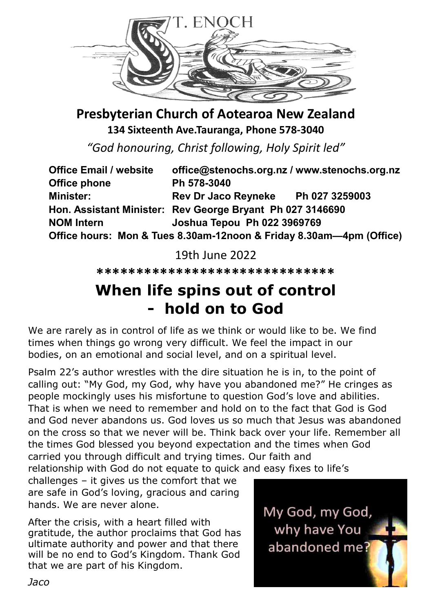

**Presbyterian Church of Aotearoa New Zealand 134 Sixteenth Ave.Tauranga, Phone 578-3040**

*"God honouring, Christ following, Holy Spirit led"*

| <b>Office Email / website</b> | office@stenochs.org.nz / www.stenochs.org.nz                        |  |
|-------------------------------|---------------------------------------------------------------------|--|
| <b>Office phone</b>           | Ph 578-3040                                                         |  |
| <b>Minister:</b>              | Rev Dr Jaco Reyneke Ph 027 3259003                                  |  |
|                               | Hon. Assistant Minister: Rev George Bryant Ph 027 3146690           |  |
| <b>NOM Intern</b>             | <b>Joshua Tepou Ph 022 3969769</b>                                  |  |
|                               | Office hours: Mon & Tues 8.30am-12noon & Friday 8.30am-4pm (Office) |  |

19th June 2022

**\*\*\*\*\*\*\*\*\*\*\*\*\*\*\*\*\*\*\*\*\*\*\*\*\*\*\*\*\*\***

## **When life spins out of control - hold on to God**

We are rarely as in control of life as we think or would like to be. We find times when things go wrong very difficult. We feel the impact in our bodies, on an emotional and social level, and on a spiritual level.

Psalm 22's author wrestles with the dire situation he is in, to the point of calling out: "My God, my God, why have you abandoned me?" He cringes as people mockingly uses his misfortune to question God's love and abilities. That is when we need to remember and hold on to the fact that God is God and God never abandons us. God loves us so much that Jesus was abandoned on the cross so that we never will be. Think back over your life. Remember all the times God blessed you beyond expectation and the times when God carried you through difficult and trying times. Our faith and relationship with God do not equate to quick and easy fixes to life's

challenges – it gives us the comfort that we are safe in God's loving, gracious and caring hands. We are never alone.

After the crisis, with a heart filled with gratitude, the author proclaims that God has ultimate authority and power and that there will be no end to God's Kingdom. Thank God that we are part of his Kingdom.

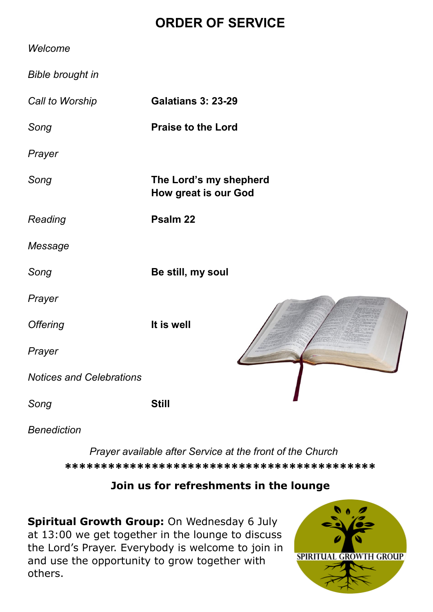### **ORDER OF SERVICE**

| Welcome                         |                                                       |
|---------------------------------|-------------------------------------------------------|
| <b>Bible brought in</b>         |                                                       |
| Call to Worship                 | <b>Galatians 3: 23-29</b>                             |
| Song                            | <b>Praise to the Lord</b>                             |
| Prayer                          |                                                       |
| Song                            | The Lord's my shepherd<br><b>How great is our God</b> |
| Reading                         | Psalm 22                                              |
| Message                         |                                                       |
| Song                            | Be still, my soul                                     |
| Prayer                          |                                                       |
| <b>Offering</b>                 | It is well                                            |
| Prayer                          |                                                       |
| <b>Notices and Celebrations</b> |                                                       |
| Song                            | <b>Still</b>                                          |
|                                 |                                                       |

*Benediction*

*Prayer available after Service at the front of the Church* **\*\*\*\*\*\*\*\*\*\*\*\*\*\*\*\*\*\*\*\*\*\*\*\*\*\*\*\*\*\*\*\*\*\*\*\*\*\*\*\*\*\*\***

### **Join us for refreshments in the lounge**

**Spiritual Growth Group:** On Wednesday 6 July at 13:00 we get together in the lounge to discuss the Lord's Prayer. Everybody is welcome to join in and use the opportunity to grow together with others.

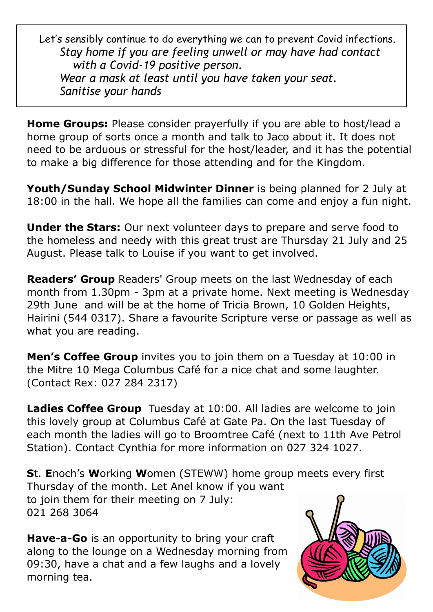Let's sensibly continue to do everything we can to prevent Covid infections. *Stay home if you are feeling unwell or may have had contact with a Covid-19 positive person. Wear a mask at least until you have taken your seat. Sanitise your hands*

**Home Groups:** Please consider prayerfully if you are able to host/lead a home group of sorts once a month and talk to Jaco about it. It does not need to be arduous or stressful for the host/leader, and it has the potential to make a big difference for those attending and for the Kingdom.

**Youth/Sunday School Midwinter Dinner** is being planned for 2 July at 18:00 in the hall. We hope all the families can come and enjoy a fun night.

**Under the Stars:** Our next volunteer days to prepare and serve food to the homeless and needy with this great trust are Thursday 21 July and 25 August. Please talk to Louise if you want to get involved.

**Readers' Group** Readers' Group meets on the last Wednesday of each month from 1.30pm - 3pm at a private home. Next meeting is Wednesday 29th June and will be at the home of Tricia Brown, 10 Golden Heights, Hairini (544 0317). Share a favourite Scripture verse or passage as well as what you are reading.

**Men's Coffee Group** invites you to join them on a Tuesday at 10:00 in the Mitre 10 Mega Columbus Café for a nice chat and some laughter. (Contact Rex: 027 284 2317)

**Ladies Coffee Group** Tuesday at 10:00. All ladies are welcome to join this lovely group at Columbus Café at Gate Pa. On the last Tuesday of each month the ladies will go to Broomtree Café (next to 11th Ave Petrol Station). Contact Cynthia for more information on 027 324 1027.

**S**t. **E**noch's **W**orking **W**omen (STEWW) home group meets every first Thursday of the month. Let Anel know if you want to join them for their meeting on 7 July: 021 268 3064

**Have-a-Go** is an opportunity to bring your craft along to the lounge on a Wednesday morning from 09:30, have a chat and a few laughs and a lovely morning tea.